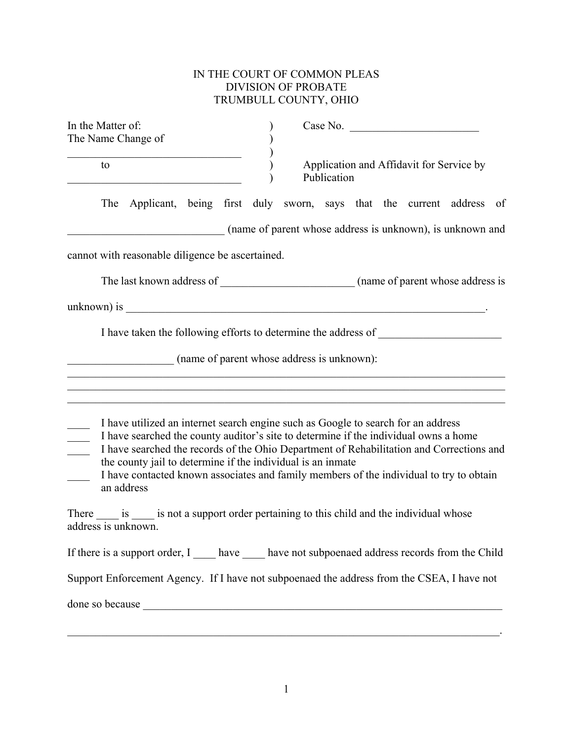## IN THE COURT OF COMMON PLEAS DIVISION OF PROBATE TRUMBULL COUNTY, OHIO

| In the Matter of:<br>The Name Change of                                   | Case No.                                                                                                                                                                                                                                                                                                                                                         |
|---------------------------------------------------------------------------|------------------------------------------------------------------------------------------------------------------------------------------------------------------------------------------------------------------------------------------------------------------------------------------------------------------------------------------------------------------|
| to                                                                        | Application and Affidavit for Service by<br>Publication                                                                                                                                                                                                                                                                                                          |
|                                                                           | The Applicant, being first duly sworn, says that the current address of                                                                                                                                                                                                                                                                                          |
|                                                                           | (name of parent whose address is unknown), is unknown and                                                                                                                                                                                                                                                                                                        |
| cannot with reasonable diligence be ascertained.                          |                                                                                                                                                                                                                                                                                                                                                                  |
|                                                                           |                                                                                                                                                                                                                                                                                                                                                                  |
|                                                                           | $unknown)$ is $\_\_$                                                                                                                                                                                                                                                                                                                                             |
|                                                                           | I have taken the following efforts to determine the address of                                                                                                                                                                                                                                                                                                   |
| (name of parent whose address is unknown):                                |                                                                                                                                                                                                                                                                                                                                                                  |
|                                                                           |                                                                                                                                                                                                                                                                                                                                                                  |
| the county jail to determine if the individual is an inmate<br>an address | I have utilized an internet search engine such as Google to search for an address<br>I have searched the county auditor's site to determine if the individual owns a home<br>I have searched the records of the Ohio Department of Rehabilitation and Corrections and<br>I have contacted known associates and family members of the individual to try to obtain |
| address is unknown.                                                       | There is is not a support order pertaining to this child and the individual whose                                                                                                                                                                                                                                                                                |
|                                                                           | If there is a support order, I _____ have _____ have not subpoenaed address records from the Child                                                                                                                                                                                                                                                               |
|                                                                           | Support Enforcement Agency. If I have not subpoenaed the address from the CSEA, I have not                                                                                                                                                                                                                                                                       |
| done so because                                                           |                                                                                                                                                                                                                                                                                                                                                                  |

 $\mathcal{L}_\mathcal{L} = \mathcal{L}_\mathcal{L} = \mathcal{L}_\mathcal{L} = \mathcal{L}_\mathcal{L} = \mathcal{L}_\mathcal{L} = \mathcal{L}_\mathcal{L} = \mathcal{L}_\mathcal{L} = \mathcal{L}_\mathcal{L} = \mathcal{L}_\mathcal{L} = \mathcal{L}_\mathcal{L} = \mathcal{L}_\mathcal{L} = \mathcal{L}_\mathcal{L} = \mathcal{L}_\mathcal{L} = \mathcal{L}_\mathcal{L} = \mathcal{L}_\mathcal{L} = \mathcal{L}_\mathcal{L} = \mathcal{L}_\mathcal{L}$